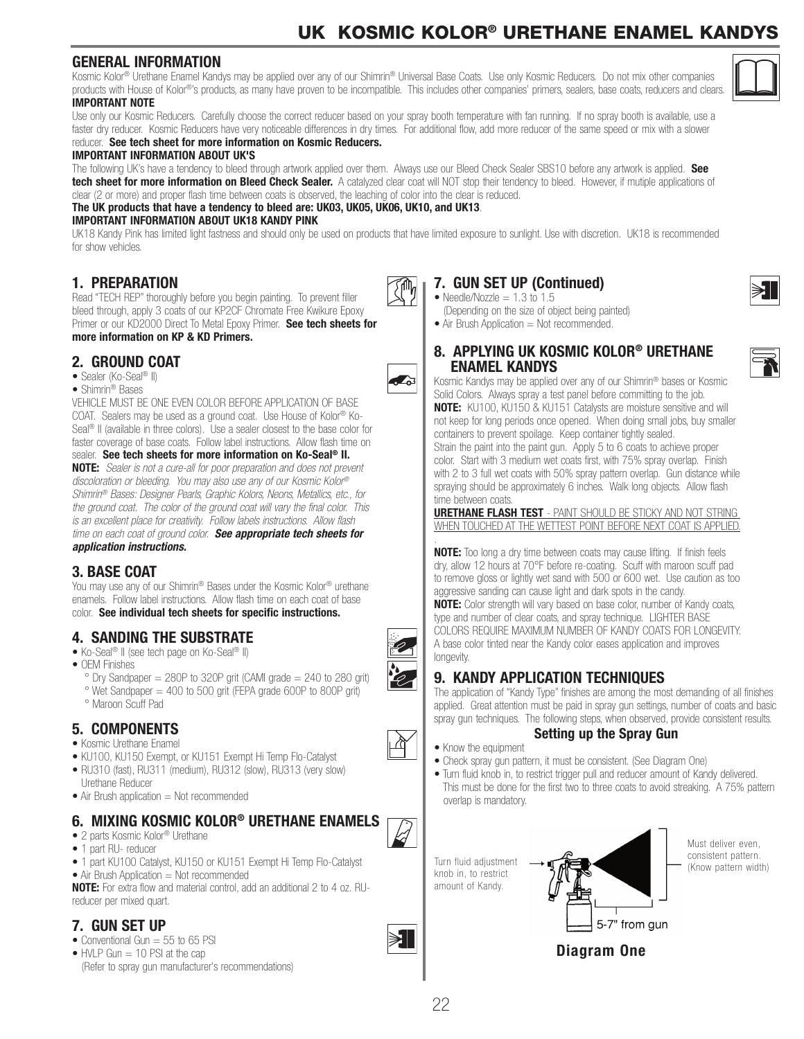# UK KOSMIC KOLOR® URETHANE ENAMEL KANDYS

#### **GENERAL INFORMATION**

Kosmic Kolor® Urethane Enamel Kandys may be applied over any of our Shimrin® Universal Base Coats. Use only Kosmic Reducers. Do not mix other companies products with House of Kolor®'s products, as many have proven to be incompatible. This includes other companies' primers, sealers, base coats, reducers and clears. **IMPORTANT NOTE**

Use only our Kosmic Reducers. Carefully choose the correct reducer based on your spray booth temperature with fan running. If no spray booth is available, use a faster dry reducer. Kosmic Reducers have very noticeable differences in dry times. For additional flow, add more reducer of the same speed or mix with a slower reducer. **See tech sheet for more information on Kosmic Reducers.**

# **IMPORTANT INFORMATION ABOUT UK'S**

The following UK's have a tendency to bleed through artwork applied over them. Always use our Bleed Check Sealer SBS10 before any artwork is applied. **See tech sheet for more information on Bleed Check Sealer.** A catalyzed clear coat will NOT stop their tendency to bleed. However, if mutiple applications of clear (2 or more) and proper flash time between coats is observed, the leaching of color into the clear is reduced.

**The UK products that have a tendency to bleed are: UK03, UK05, UK06, UK10, and UK13**.

#### **IMPORTANT INFORMATION ABOUT UK18 KANDY PINK**

UK18 Kandy Pink has limited light fastness and should only be used on products that have limited exposure to sunlight. Use with discretion. UK18 is recommended for show vehicles.

#### **1. PREPARATION**

Read "TECH REP" thoroughly before you begin painting. To prevent filler bleed through, apply 3 coats of our KP2CF Chromate Free Kwikure Epoxy Primer or our KD2000 Direct To Metal Epoxy Primer. **See tech sheets for** 

#### **more information on KP & KD Primers.**

#### **2. GROUND COAT**

- Sealer (Ko-Seal<sup>®</sup> II)
- Shimrin® Bases

VEHICLE MUST BE ONE EVEN COLOR BEFORE APPLICATION OF BASE COAT. Sealers may be used as a ground coat. Use House of Kolor® Ko-Seal® II (available in three colors). Use a sealer closest to the base color for faster coverage of base coats. Follow label instructions. Allow flash time on sealer. **See tech sheets for more information on Ko-Seal® II.**

**NOTE:** *Sealer is not a cure-all for poor preparation and does not prevent discoloration or bleeding. You may also use any of our Kosmic Kolor® Shimrin® Bases: Designer Pearls, Graphic Kolors, Neons, Metallics, etc., for the ground coat. The color of the ground coat will vary the final color. This is an excellent place for creativity. Follow labels instructions. Allow flash time on each coat of ground color. See appropriate tech sheets for application instructions.*

## **3. BASE COAT**

You may use any of our Shimrin® Bases under the Kosmic Kolor® urethane enamels. Follow label instructions. Allow flash time on each coat of base color. **See individual tech sheets for specific instructions.**

# **4. SANDING THE SUBSTRATE**

- Ko-Seal<sup>®</sup> II (see tech page on Ko-Seal<sup>®</sup> II)
- OEM Finishes
	- $\degree$  Dry Sandpaper = 280P to 320P grit (CAMI grade = 240 to 280 grit)
	- ° Wet Sandpaper = 400 to 500 grit (FEPA grade 600P to 800P grit) ° Maroon Scuff Pad

## **5. COMPONENTS**

- Kosmic Urethane Enamel
- KU100, KU150 Exempt, or KU151 Exempt Hi Temp Flo-Catalyst
- RU310 (fast), RU311 (medium), RU312 (slow), RU313 (very slow)
- Urethane Reducer
- $\bullet$  Air Brush application  $=$  Not recommended

## **6. MIXING KOSMIC KOLOR® URETHANE ENAMELS**

- 2 parts Kosmic Kolor<sup>®</sup> Urethane
- 1 part RU- reducer
- 1 part KU100 Catalyst, KU150 or KU151 Exempt Hi Temp Flo-Catalyst
- $\bullet$  Air Brush Application  $=$  Not recommended

**NOTE:** For extra flow and material control, add an additional 2 to 4 oz. RUreducer per mixed quart.

# **7. GUN SET UP**

- Conventional Gun  $=$  55 to 65 PSI
- HVLP Gun  $= 10$  PSI at the cap (Refer to spray gun manufacturer's recommendations)

## **7. GUN SET UP (Continued)**

- Needle/Nozzle  $= 1.3$  to 1.5 (Depending on the size of object being painted)
- $\bullet$  Air Brush Application  $=$  Not recommended.
- **8. APPLYING UK KOSMIC KOLOR® URETHANE ENAMEL KANDYS**

Kosmic Kandys may be applied over any of our Shimrin® bases or Kosmic Solid Colors. Always spray a test panel before committing to the job. **NOTE:** KU100, KU150 & KU151 Catalysts are moisture sensitive and will not keep for long periods once opened. When doing small jobs, buy smaller containers to prevent spoilage. Keep container tightly sealed. Strain the paint into the paint gun. Apply 5 to 6 coats to achieve proper color. Start with 3 medium wet coats first, with 75% spray overlap. Finish with 2 to 3 full wet coats with 50% spray pattern overlap. Gun distance while spraying should be approximately 6 inches. Walk long objects. Allow flash time between coats.

**URETHANE FLASH TEST** - PAINT SHOULD BE STICKY AND NOT STRING WHEN TOUCHED AT THE WETTEST POINT BEFORE NEXT COAT IS APPLIED.

. **NOTE:** Too long a dry time between coats may cause lifting. If finish feels dry, allow 12 hours at 70°F before re-coating. Scuff with maroon scuff pad to remove gloss or lightly wet sand with 500 or 600 wet. Use caution as too aggressive sanding can cause light and dark spots in the candy. **NOTE:** Color strength will vary based on base color, number of Kandy coats,

type and number of clear coats, and spray technique. LIGHTER BASE COLORS REQUIRE MAXIMUM NUMBER OF KANDY COATS FOR LONGEVITY. A base color tinted near the Kandy color eases application and improves longevity.

## **9. KANDY APPLICATION TECHNIQUES**

The application of "Kandy Type" finishes are among the most demanding of all finishes applied. Great attention must be paid in spray gun settings, number of coats and basic spray gun techniques. The following steps, when observed, provide consistent results. **Setting up the Spray Gun**

#### • Know the equipment

- Check spray gun pattern, it must be consistent. (See Diagram One)
- Turn fluid knob in, to restrict trigger pull and reducer amount of Kandy delivered. This must be done for the first two to three coats to avoid streaking. A 75% pattern overlap is mandatory.





Must deliver even consistent pattern.









 $\sigma$ 







₫

 $\blacktriangleright$